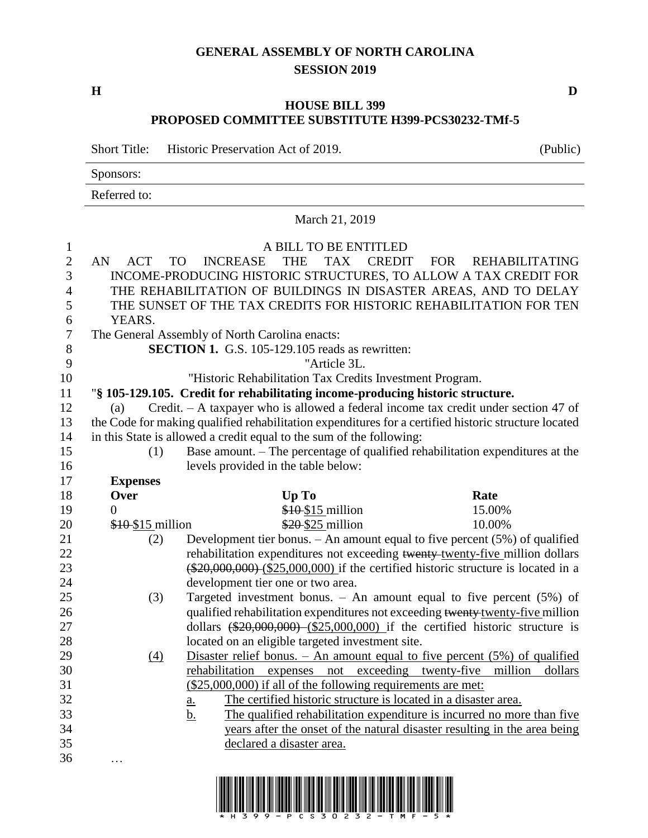## **GENERAL ASSEMBLY OF NORTH CAROLINA SESSION 2019**

**H D**

## **HOUSE BILL 399 PROPOSED COMMITTEE SUBSTITUTE H399-PCS30232-TMf-5**

March 21, 2019

Short Title: Historic Preservation Act of 2019. (Public)

Sponsors:

Referred to:

## A BILL TO BE ENTITLED AN ACT TO INCREASE THE TAX CREDIT FOR REHABILITATING INCOME-PRODUCING HISTORIC STRUCTURES, TO ALLOW A TAX CREDIT FOR THE REHABILITATION OF BUILDINGS IN DISASTER AREAS, AND TO DELAY THE SUNSET OF THE TAX CREDITS FOR HISTORIC REHABILITATION FOR TEN YEARS. The General Assembly of North Carolina enacts: **SECTION 1.** G.S. 105-129.105 reads as rewritten: "Article 3L. "Historic Rehabilitation Tax Credits Investment Program. "**§ 105-129.105. Credit for rehabilitating income-producing historic structure.** (a) Credit. – A taxpayer who is allowed a federal income tax credit under section 47 of the Code for making qualified rehabilitation expenditures for a certified historic structure located in this State is allowed a credit equal to the sum of the following: (1) Base amount. – The percentage of qualified rehabilitation expenditures at the levels provided in the table below: **Expenses** 18 Over Up To Rate 19 0 \$<del>10</del>\$15 million 15.00% 20 \$10 \$15 million \$20 \$25 million 10.00% (2) Development tier bonus. – An amount equal to five percent (5%) of qualified 22 rehabilitation expenditures not exceeding twenty-twenty-five million dollars (\$20,000,000) (\$25,000,000) if the certified historic structure is located in a development tier one or two area. (3) Targeted investment bonus. – An amount equal to five percent (5%) of 26 qualified rehabilitation expenditures not exceeding twenty-five million 27 dollars (\$20,000,000) (\$25,000,000) if the certified historic structure is located on an eligible targeted investment site. (4) Disaster relief bonus. – An amount equal to five percent (5%) of qualified rehabilitation expenses not exceeding twenty-five million dollars (\$25,000,000) if all of the following requirements are met: a. The certified historic structure is located in a disaster area. b. The qualified rehabilitation expenditure is incurred no more than five years after the onset of the natural disaster resulting in the area being declared a disaster area. …